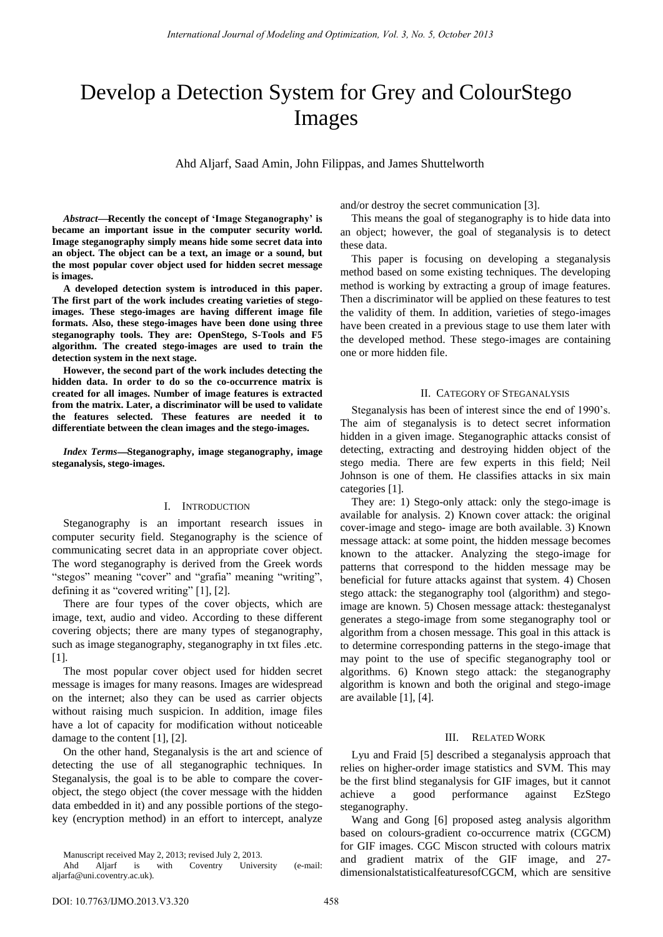# Develop a Detection System for Grey and ColourStego Images

Ahd Aljarf, Saad Amin, John Filippas, and James Shuttelworth

Abstract—Recently the concept of 'Image Steganography' is **became an important issue in the computer security world. Image steganography simply means hide some secret data into an object. The object can be a text, an image or a sound, but the most popular cover object used for hidden secret message is images.** 

**A developed detection system is introduced in this paper. The first part of the work includes creating varieties of stegoimages. These stego-images are having different image file formats. Also, these stego-images have been done using three steganography tools. They are: OpenStego, S-Tools and F5 algorithm. The created stego-images are used to train the detection system in the next stage.** 

**However, the second part of the work includes detecting the hidden data. In order to do so the co-occurrence matrix is created for all images. Number of image features is extracted from the matrix. Later, a discriminator will be used to validate the features selected. These features are needed it to differentiate between the clean images and the stego-images.** 

*Index Terms*—Steganography, image steganography, image **steganalysis, stego-images.** 

#### I. INTRODUCTION

Steganography is an important research issues in computer security field. Steganography is the science of communicating secret data in an appropriate cover object. The word steganography is derived from the Greek words "stegos" meaning "cover" and "grafia" meaning "writing", defining it as "covered writing" [1], [2].

There are four types of the cover objects, which are image, text, audio and video. According to these different covering objects; there are many types of steganography, such as image steganography, steganography in txt files .etc. [1].

The most popular cover object used for hidden secret message is images for many reasons. Images are widespread on the internet; also they can be used as carrier objects without raising much suspicion. In addition, image files have a lot of capacity for modification without noticeable damage to the content [1], [2].

On the other hand, Steganalysis is the art and science of detecting the use of all steganographic techniques. In Steganalysis, the goal is to be able to compare the coverobject, the stego object (the cover message with the hidden data embedded in it) and any possible portions of the stegokey (encryption method) in an effort to intercept, analyze

and/or destroy the secret communication [3].

This means the goal of steganography is to hide data into an object; however, the goal of steganalysis is to detect these data.

This paper is focusing on developing a steganalysis method based on some existing techniques. The developing method is working by extracting a group of image features. Then a discriminator will be applied on these features to test the validity of them. In addition, varieties of stego-images have been created in a previous stage to use them later with the developed method. These stego-images are containing one or more hidden file.

## II. CATEGORY OF STEGANALYSIS

Steganalysis has been of interest since the end of 1990"s. The aim of steganalysis is to detect secret information hidden in a given image. Steganographic attacks consist of detecting, extracting and destroying hidden object of the stego media. There are few experts in this field; Neil Johnson is one of them. He classifies attacks in six main categories [1].

They are: 1) Stego-only attack: only the stego-image is available for analysis. 2) Known cover attack: the original cover-image and stego- image are both available. 3) Known message attack: at some point, the hidden message becomes known to the attacker. Analyzing the stego-image for patterns that correspond to the hidden message may be beneficial for future attacks against that system. 4) Chosen stego attack: the steganography tool (algorithm) and stegoimage are known. 5) Chosen message attack: thesteganalyst generates a stego-image from some steganography tool or algorithm from a chosen message. This goal in this attack is to determine corresponding patterns in the stego-image that may point to the use of specific steganography tool or algorithms. 6) Known stego attack: the steganography algorithm is known and both the original and stego-image are available [1], [4].

# III. RELATED WORK

Lyu and Fraid [5] described a steganalysis approach that relies on higher-order image statistics and SVM. This may be the first blind steganalysis for GIF images, but it cannot achieve a good performance against EzStego steganography.

Wang and Gong [6] proposed asteg analysis algorithm based on colours-gradient co-occurrence matrix (CGCM) for GIF images. CGC Miscon structed with colours matrix and gradient matrix of the GIF image, and 27 dimensionalstatisticalfeaturesofCGCM, which are sensitive

Manuscript received May 2, 2013; revised July 2, 2013.

Ahd Aljarf is with Coventry University (e-mail: aljarfa@uni.coventry.ac.uk).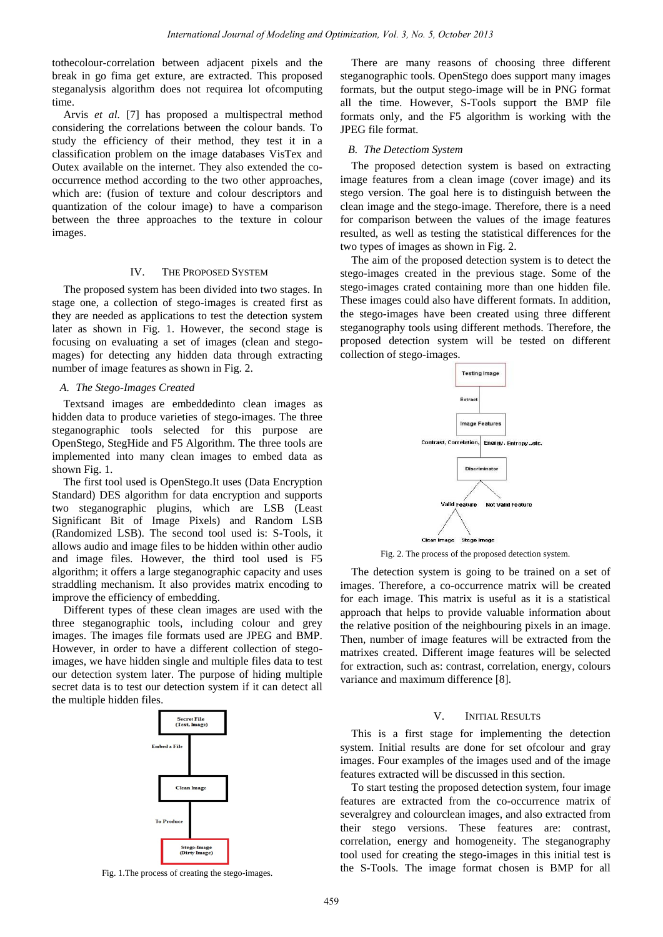tothecolour-correlation between adjacent pixels and the break in go fima get exture, are extracted. This proposed steganalysis algorithm does not requirea lot ofcomputing time.

Arvis *et al.* [7] has proposed a multispectral method considering the correlations between the colour bands. To study the efficiency of their method, they test it in a classification problem on the image databases VisTex and Outex available on the internet. They also extended the cooccurrence method according to the two other approaches, which are: (fusion of texture and colour descriptors and quantization of the colour image) to have a comparison between the three approaches to the texture in colour images.

# IV. THE PROPOSED SYSTEM

The proposed system has been divided into two stages. In stage one, a collection of stego-images is created first as they are needed as applications to test the detection system later as shown in Fig. 1. However, the second stage is focusing on evaluating a set of images (clean and stegomages) for detecting any hidden data through extracting number of image features as shown in Fig. 2.

## *A. The Stego-Images Created*

Textsand images are embeddedinto clean images as hidden data to produce varieties of stego-images. The three steganographic tools selected for this purpose are OpenStego, StegHide and F5 Algorithm. The three tools are implemented into many clean images to embed data as shown Fig. 1.

The first tool used is OpenStego.It uses (Data Encryption Standard) DES algorithm for data encryption and supports two steganographic plugins, which are LSB (Least Significant Bit of Image Pixels) and Random LSB (Randomized LSB). The second tool used is: S-Tools, it allows audio and image files to be hidden within other audio and image files. However, the third tool used is F5 algorithm; it offers a large steganographic capacity and uses straddling mechanism. It also provides matrix encoding to improve the efficiency of embedding.

Different types of these clean images are used with the three steganographic tools, including colour and grey images. The images file formats used are JPEG and BMP. However, in order to have a different collection of stegoimages, we have hidden single and multiple files data to test our detection system later. The purpose of hiding multiple secret data is to test our detection system if it can detect all the multiple hidden files.



Fig. 1.The process of creating the stego-images.

There are many reasons of choosing three different steganographic tools. OpenStego does support many images formats, but the output stego-image will be in PNG format all the time. However, S-Tools support the BMP file formats only, and the F5 algorithm is working with the JPEG file format.

#### *B. The Detectiom System*

The proposed detection system is based on extracting image features from a clean image (cover image) and its stego version. The goal here is to distinguish between the clean image and the stego-image. Therefore, there is a need for comparison between the values of the image features resulted, as well as testing the statistical differences for the two types of images as shown in Fig. 2.

The aim of the proposed detection system is to detect the stego-images created in the previous stage. Some of the stego-images crated containing more than one hidden file. These images could also have different formats. In addition, the stego-images have been created using three different steganography tools using different methods. Therefore, the proposed detection system will be tested on different collection of stego-images.



Fig. 2. The process of the proposed detection system.

The detection system is going to be trained on a set of images. Therefore, a co-occurrence matrix will be created for each image. This matrix is useful as it is a statistical approach that helps to provide valuable information about the relative position of the neighbouring pixels in an image. Then, number of image features will be extracted from the matrixes created. Different image features will be selected for extraction, such as: contrast, correlation, energy, colours variance and maximum difference [8].

## V. INITIAL RESULTS

This is a first stage for implementing the detection system. Initial results are done for set ofcolour and gray images. Four examples of the images used and of the image features extracted will be discussed in this section.

To start testing the proposed detection system, four image features are extracted from the co-occurrence matrix of severalgrey and colourclean images, and also extracted from their stego versions. These features are: contrast, correlation, energy and homogeneity. The steganography tool used for creating the stego-images in this initial test is the S-Tools. The image format chosen is BMP for all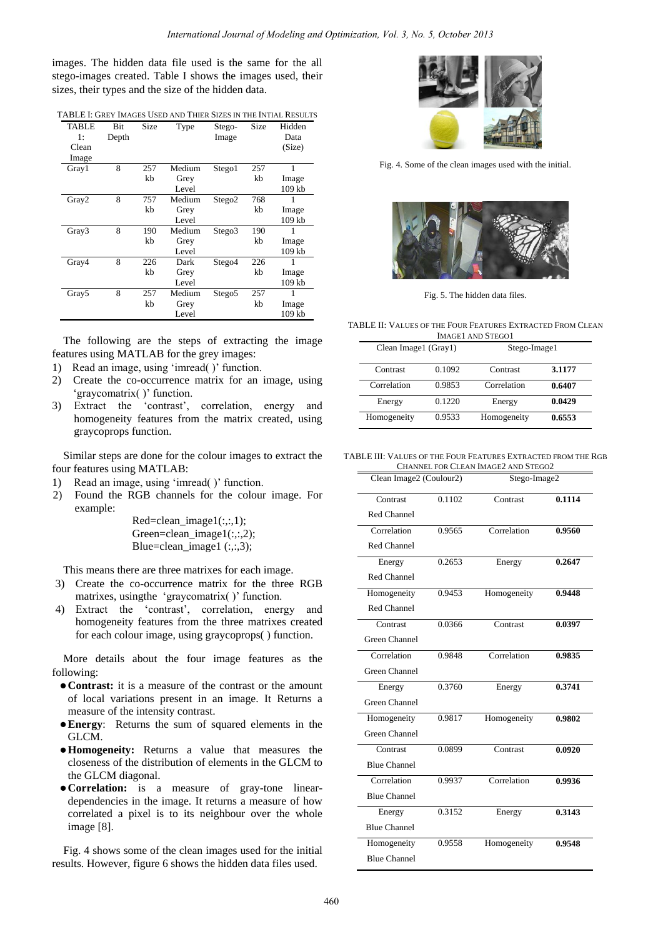images. The hidden data file used is the same for the all stego-images created. Table I shows the images used, their sizes, their types and the size of the hidden data.

|  |  | TABLE I: GREY IMAGES USED AND THIER SIZES IN THE INTIAL RESULTS |
|--|--|-----------------------------------------------------------------|
|  |  |                                                                 |

| <b>TABLE</b>      | Bit   | Size | Type   | Stego-             | Size | Hidden   |
|-------------------|-------|------|--------|--------------------|------|----------|
| 1:                | Depth |      |        | Image              |      | Data     |
| Clean             |       |      |        |                    |      | (Size)   |
| Image             |       |      |        |                    |      |          |
| Gray1             | 8     | 257  | Medium | Stego1             | 257  | 1        |
|                   |       | kb   | Grey   |                    | kb   | Image    |
|                   |       |      | Level  |                    |      | 109 kb   |
| Gray2             | 8     | 757  | Medium | Stego <sub>2</sub> | 768  |          |
|                   |       | kb   | Grey   |                    | kb   | Image    |
|                   |       |      | Level  |                    |      | $109$ kb |
| Gray3             | 8     | 190  | Medium | Stego3             | 190  | 1        |
|                   |       | kb   | Grey   |                    | kb   | Image    |
|                   |       |      | Level  |                    |      | 109 kb   |
| Gray4             | 8     | 226  | Dark   | Stego4             | 226  | 1        |
|                   |       | kb   | Grey   |                    | kb   | Image    |
|                   |       |      | Level  |                    |      | $109$ kb |
| Gray <sub>5</sub> | 8     | 257  | Medium | Stego <sub>5</sub> | 257  | 1        |
|                   |       | kb   | Grey   |                    | kb   | Image    |
|                   |       |      | Level  |                    |      | 109 kb   |

The following are the steps of extracting the image features using MATLAB for the grey images:

- 1) Read an image, using 'imread( )' function.
- 2) Create the co-occurrence matrix for an image, using graycomatrix()' function.
- 3) Extract the 'contrast', correlation, energy and homogeneity features from the matrix created, using graycoprops function.

Similar steps are done for the colour images to extract the four features using MATLAB:

- 1) Read an image, using 'imread( )' function.
- 2) Found the RGB channels for the colour image. For example:

Red=clean  $image1(:,:,1);$ Green=clean\_image1(:,:,2); Blue=clean image1  $(:,:,3)$ ;

This means there are three matrixes for each image.

- 3) Create the co-occurrence matrix for the three RGB matrixes, using the 'graycomatrix()' function.
- 4) Extract the "contrast", correlation, energy and homogeneity features from the three matrixes created for each colour image, using graycoprops( ) function.

More details about the four image features as the following:

- **Contrast:** it is a measure of the contrast or the amount of local variations present in an image. It Returns a measure of the intensity contrast.
- **Energy**: Returns the sum of squared elements in the GLCM.
- **Homogeneity:** Returns a value that measures the closeness of the distribution of elements in the GLCM to the GLCM diagonal.
- **Correlation:** is a measure of gray-tone lineardependencies in the image. It returns a measure of how correlated a pixel is to its neighbour over the whole image [8].

Fig. 4 shows some of the clean images used for the initial results. However, figure 6 shows the hidden data files used.



Fig. 4. Some of the clean images used with the initial.



Fig. 5. The hidden data files.

TABLE II: VALUES OF THE FOUR FEATURES EXTRACTED FROM CLEAN

| <b>IMAGE1 AND STEGO1</b> |        |              |        |  |
|--------------------------|--------|--------------|--------|--|
| Clean Image1 (Gray1)     |        | Stego-Image1 |        |  |
| Contrast                 | 0.1092 | Contrast     | 3.1177 |  |
| Correlation              | 0.9853 | Correlation  | 0.6407 |  |
| Energy                   | 0.1220 | Energy       | 0.0429 |  |
| Homogeneity              | 0.9533 | Homogeneity  | 0.6553 |  |

#### TABLE III: VALUES OF THE FOUR FEATURES EXTRACTED FROM THE RGB CHANNEL FOR CLEAN IMAGE2 AND STEGO2

| Clean Image2 (Coulour2) |        | Stego-Image2 |        |  |
|-------------------------|--------|--------------|--------|--|
| Contrast                | 0.1102 | Contrast     | 0.1114 |  |
| Red Channel             |        |              |        |  |
| Correlation             | 0.9565 | Correlation  | 0.9560 |  |
| Red Channel             |        |              |        |  |
| Energy                  | 0.2653 | Energy       | 0.2647 |  |
| Red Channel             |        |              |        |  |
| Homogeneity             | 0.9453 | Homogeneity  | 0.9448 |  |
| Red Channel             |        |              |        |  |
| Contrast                | 0.0366 | Contrast     | 0.0397 |  |
| <b>Green Channel</b>    |        |              |        |  |
| Correlation             | 0.9848 | Correlation  | 0.9835 |  |
| Green Channel           |        |              |        |  |
| Energy                  | 0.3760 | Energy       | 0.3741 |  |
| Green Channel           |        |              |        |  |
| Homogeneity             | 0.9817 | Homogeneity  | 0.9802 |  |
| <b>Green Channel</b>    |        |              |        |  |
| Contrast                | 0.0899 | Contrast     | 0.0920 |  |
| <b>Blue Channel</b>     |        |              |        |  |
| Correlation             | 0.9937 | Correlation  | 0.9936 |  |
| <b>Blue Channel</b>     |        |              |        |  |
| Energy                  | 0.3152 | Energy       | 0.3143 |  |
| <b>Blue Channel</b>     |        |              |        |  |
| Homogeneity             | 0.9558 | Homogeneity  | 0.9548 |  |
| <b>Blue Channel</b>     |        |              |        |  |